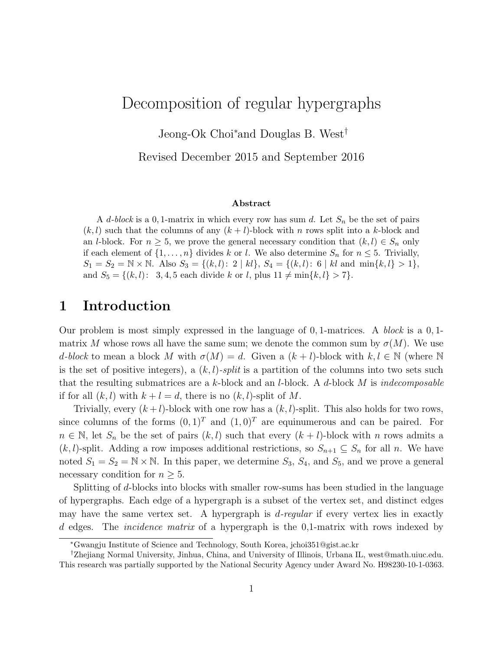## Decomposition of regular hypergraphs

Jeong-Ok Choi<sup>∗</sup>and Douglas B. West†

Revised December 2015 and September 2016

#### Abstract

A d-block is a 0, 1-matrix in which every row has sum d. Let  $S_n$  be the set of pairs  $(k, l)$  such that the columns of any  $(k + l)$ -block with n rows split into a k-block and an *l*-block. For  $n \geq 5$ , we prove the general necessary condition that  $(k, l) \in S_n$  only if each element of  $\{1, \ldots, n\}$  divides k or l. We also determine  $S_n$  for  $n \leq 5$ . Trivially,  $S_1 = S_2 = \mathbb{N} \times \mathbb{N}$ . Also  $S_3 = \{(k, l): 2 | kl\}, S_4 = \{(k, l): 6 | kl \text{ and } \min\{k, l\} > 1\},$ and  $S_5 = \{(k, l): 3, 4, 5 \text{ each divide } k \text{ or } l, \text{ plus } 11 \neq \min\{k, l\} > 7\}.$ 

#### 1 Introduction

Our problem is most simply expressed in the language of  $0, 1$ -matrices. A block is a  $0, 1$ matrix M whose rows all have the same sum; we denote the common sum by  $\sigma(M)$ . We use d-block to mean a block M with  $\sigma(M) = d$ . Given a  $(k+l)$ -block with  $k, l \in \mathbb{N}$  (where N is the set of positive integers), a  $(k, l)$ -split is a partition of the columns into two sets such that the resulting submatrices are a k-block and an *l*-block. A d-block M is *indecomposable* if for all  $(k, l)$  with  $k + l = d$ , there is no  $(k, l)$ -split of M.

Trivially, every  $(k+l)$ -block with one row has a  $(k, l)$ -split. This also holds for two rows, since columns of the forms  $(0, 1)^T$  and  $(1, 0)^T$  are equinumerous and can be paired. For  $n \in \mathbb{N}$ , let  $S_n$  be the set of pairs  $(k, l)$  such that every  $(k + l)$ -block with n rows admits a  $(k, l)$ -split. Adding a row imposes additional restrictions, so  $S_{n+1} \subseteq S_n$  for all n. We have noted  $S_1 = S_2 = \mathbb{N} \times \mathbb{N}$ . In this paper, we determine  $S_3$ ,  $S_4$ , and  $S_5$ , and we prove a general necessary condition for  $n \geq 5$ .

Splitting of d-blocks into blocks with smaller row-sums has been studied in the language of hypergraphs. Each edge of a hypergraph is a subset of the vertex set, and distinct edges may have the same vertex set. A hypergraph is  $d$ -regular if every vertex lies in exactly d edges. The incidence matrix of a hypergraph is the 0,1-matrix with rows indexed by

<sup>∗</sup>Gwangju Institute of Science and Technology, South Korea, jchoi351@gist.ac.kr

<sup>†</sup>Zhejiang Normal University, Jinhua, China, and University of Illinois, Urbana IL, west@math.uiuc.edu. This research was partially supported by the National Security Agency under Award No. H98230-10-1-0363.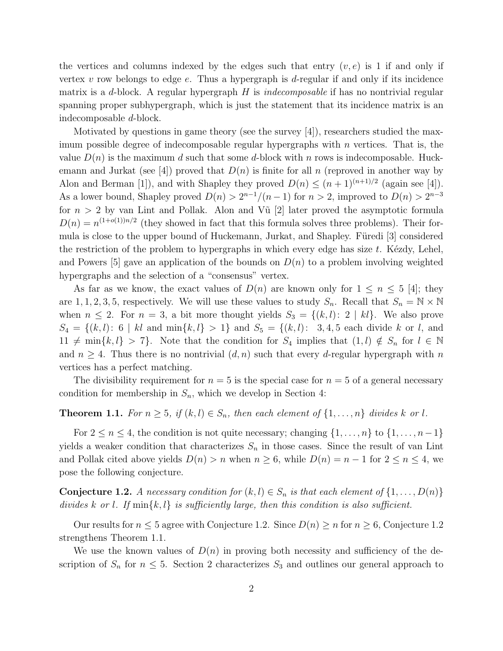the vertices and columns indexed by the edges such that entry  $(v, e)$  is 1 if and only if vertex v row belongs to edge  $e$ . Thus a hypergraph is d-regular if and only if its incidence matrix is a d-block. A regular hypergraph  $H$  is *indecomposable* if has no nontrivial regular spanning proper subhypergraph, which is just the statement that its incidence matrix is an indecomposable d-block.

Motivated by questions in game theory (see the survey [4]), researchers studied the maximum possible degree of indecomposable regular hypergraphs with  $n$  vertices. That is, the value  $D(n)$  is the maximum d such that some d-block with n rows is indecomposable. Huckemann and Jurkat (see [4]) proved that  $D(n)$  is finite for all n (reproved in another way by Alon and Berman [1]), and with Shapley they proved  $D(n) \leq (n+1)^{(n+1)/2}$  (again see [4]). As a lower bound, Shapley proved  $D(n) > 2^{n-1}/(n-1)$  for  $n > 2$ , improved to  $D(n) > 2^{n-3}$ for  $n > 2$  by van Lint and Pollak. Alon and V $\tilde{u}$  [2] later proved the asymptotic formula  $D(n) = n^{(1+o(1))n/2}$  (they showed in fact that this formula solves three problems). Their formula is close to the upper bound of Huckemann, Jurkat, and Shapley. Füredi [3] considered the restriction of the problem to hypergraphs in which every edge has size  $t$ . Kézdy, Lehel, and Powers [5] gave an application of the bounds on  $D(n)$  to a problem involving weighted hypergraphs and the selection of a "consensus" vertex.

As far as we know, the exact values of  $D(n)$  are known only for  $1 \leq n \leq 5$  [4]; they are 1, 1, 2, 3, 5, respectively. We will use these values to study  $S_n$ . Recall that  $S_n = \mathbb{N} \times \mathbb{N}$ when  $n \leq 2$ . For  $n = 3$ , a bit more thought yields  $S_3 = \{(k, l): 2 \mid kl\}$ . We also prove  $S_4 = \{(k, l): 6 \mid kl \text{ and } \min\{k, l\} > 1\}$  and  $S_5 = \{(k, l): 3, 4, 5 \text{ each divide } k \text{ or } l, \text{ and }$  $11 \neq \min\{k, l\} > 7\}.$  Note that the condition for  $S_4$  implies that  $(1, l) \notin S_n$  for  $l \in \mathbb{N}$ and  $n \geq 4$ . Thus there is no nontrivial  $(d, n)$  such that every d-regular hypergraph with n vertices has a perfect matching.

The divisibility requirement for  $n = 5$  is the special case for  $n = 5$  of a general necessary condition for membership in  $S_n$ , which we develop in Section 4:

#### **Theorem 1.1.** For  $n \geq 5$ , if  $(k, l) \in S_n$ , then each element of  $\{1, \ldots, n\}$  divides k or l.

For  $2 \le n \le 4$ , the condition is not quite necessary; changing  $\{1, \ldots, n\}$  to  $\{1, \ldots, n-1\}$ yields a weaker condition that characterizes  $S_n$  in those cases. Since the result of van Lint and Pollak cited above yields  $D(n) > n$  when  $n \ge 6$ , while  $D(n) = n - 1$  for  $2 \le n \le 4$ , we pose the following conjecture.

**Conjecture 1.2.** A necessary condition for  $(k, l) \in S_n$  is that each element of  $\{1, \ldots, D(n)\}$ divides k or l. If  $\min\{k, l\}$  is sufficiently large, then this condition is also sufficient.

Our results for  $n \leq 5$  agree with Conjecture 1.2. Since  $D(n) \geq n$  for  $n \geq 6$ , Conjecture 1.2 strengthens Theorem 1.1.

We use the known values of  $D(n)$  in proving both necessity and sufficiency of the description of  $S_n$  for  $n \leq 5$ . Section 2 characterizes  $S_3$  and outlines our general approach to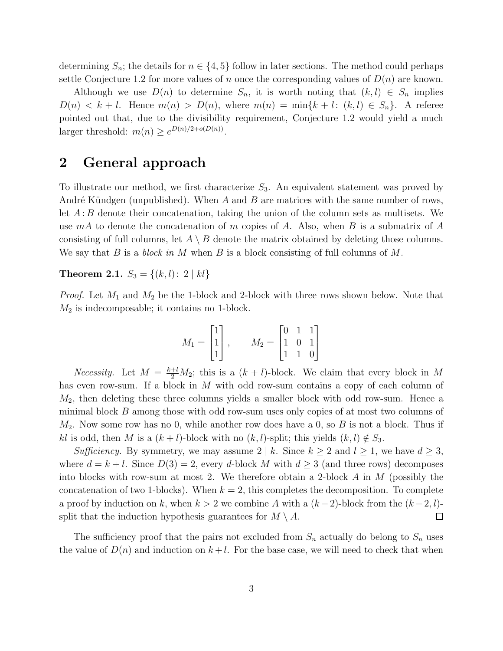determining  $S_n$ ; the details for  $n \in \{4, 5\}$  follow in later sections. The method could perhaps settle Conjecture 1.2 for more values of n once the corresponding values of  $D(n)$  are known.

Although we use  $D(n)$  to determine  $S_n$ , it is worth noting that  $(k, l) \in S_n$  implies  $D(n) < k+l$ . Hence  $m(n) > D(n)$ , where  $m(n) = \min\{k+l: (k,l) \in S_n\}$ . A referee pointed out that, due to the divisibility requirement, Conjecture 1.2 would yield a much larger threshold:  $m(n) \geq e^{D(n)/2 + o(D(n))}$ .

### 2 General approach

To illustrate our method, we first characterize  $S_3$ . An equivalent statement was proved by André Kündgen (unpublished). When A and B are matrices with the same number of rows, let  $A : B$  denote their concatenation, taking the union of the column sets as multisets. We use  $mA$  to denote the concatenation of m copies of A. Also, when B is a submatrix of A consisting of full columns, let  $A \setminus B$  denote the matrix obtained by deleting those columns. We say that B is a block in M when B is a block consisting of full columns of M.

Theorem 2.1.  $S_3 = \{(k, l): 2 | kl\}$ 

*Proof.* Let  $M_1$  and  $M_2$  be the 1-block and 2-block with three rows shown below. Note that  $M_2$  is indecomposable; it contains no 1-block.

$$
M_1 = \begin{bmatrix} 1 \\ 1 \\ 1 \end{bmatrix}, \qquad M_2 = \begin{bmatrix} 0 & 1 & 1 \\ 1 & 0 & 1 \\ 1 & 1 & 0 \end{bmatrix}
$$

*Necessity*. Let  $M = \frac{k+l}{2}M_2$ ; this is a  $(k+l)$ -block. We claim that every block in M has even row-sum. If a block in M with odd row-sum contains a copy of each column of  $M_2$ , then deleting these three columns yields a smaller block with odd row-sum. Hence a minimal block B among those with odd row-sum uses only copies of at most two columns of  $M_2$ . Now some row has no 0, while another row does have a 0, so B is not a block. Thus if kl is odd, then M is a  $(k+l)$ -block with no  $(k, l)$ -split; this yields  $(k, l) \notin S_3$ .

Sufficiency. By symmetry, we may assume  $2 \mid k$ . Since  $k \geq 2$  and  $l \geq 1$ , we have  $d \geq 3$ , where  $d = k + l$ . Since  $D(3) = 2$ , every d-block M with  $d \geq 3$  (and three rows) decomposes into blocks with row-sum at most 2. We therefore obtain a 2-block A in  $M$  (possibly the concatenation of two 1-blocks). When  $k = 2$ , this completes the decomposition. To complete a proof by induction on k, when  $k > 2$  we combine A with a  $(k-2)$ -block from the  $(k-2, l)$ split that the induction hypothesis guarantees for  $M \setminus A$ .  $\Box$ 

The sufficiency proof that the pairs not excluded from  $S_n$  actually do belong to  $S_n$  uses the value of  $D(n)$  and induction on  $k+l$ . For the base case, we will need to check that when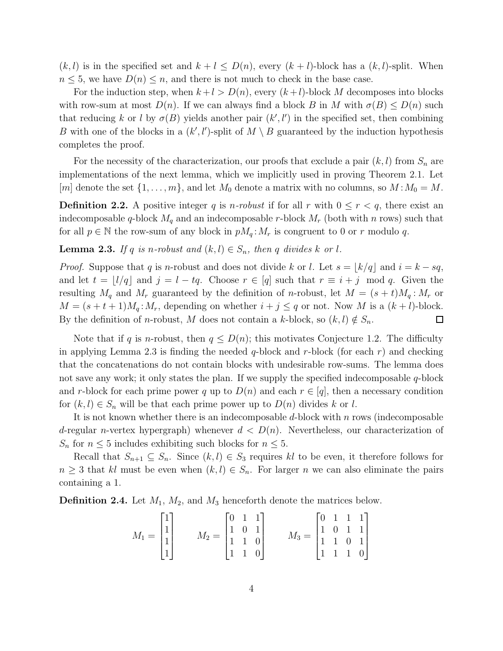$(k, l)$  is in the specified set and  $k + l \le D(n)$ , every  $(k + l)$ -block has a  $(k, l)$ -split. When  $n \leq 5$ , we have  $D(n) \leq n$ , and there is not much to check in the base case.

For the induction step, when  $k+l > D(n)$ , every  $(k+l)$ -block M decomposes into blocks with row-sum at most  $D(n)$ . If we can always find a block B in M with  $\sigma(B) \le D(n)$  such that reducing k or l by  $\sigma(B)$  yields another pair  $(k', l')$  in the specified set, then combining B with one of the blocks in a  $(k', l')$ -split of  $M \setminus B$  guaranteed by the induction hypothesis completes the proof.

For the necessity of the characterization, our proofs that exclude a pair  $(k, l)$  from  $S_n$  are implementations of the next lemma, which we implicitly used in proving Theorem 2.1. Let [m] denote the set  $\{1, \ldots, m\}$ , and let  $M_0$  denote a matrix with no columns, so  $M : M_0 = M$ .

**Definition 2.2.** A positive integer q is *n*-robust if for all r with  $0 \le r < q$ , there exist an indecomposable q-block  $M_q$  and an indecomposable r-block  $M_r$  (both with n rows) such that for all  $p \in \mathbb{N}$  the row-sum of any block in  $pM_q:M_r$  is congruent to 0 or r modulo q.

**Lemma 2.3.** If q is n-robust and  $(k, l) \in S_n$ , then q divides k or l.

*Proof.* Suppose that q is n-robust and does not divide k or l. Let  $s = \lfloor k/q \rfloor$  and  $i = k - sq$ , and let  $t = \lfloor l/q \rfloor$  and  $j = l - tq$ . Choose  $r \in [q]$  such that  $r \equiv i + j \mod q$ . Given the resulting  $M_q$  and  $M_r$  guaranteed by the definition of n-robust, let  $M = (s + t)M_q : M_r$  or  $M = (s + t + 1)M_q$ :  $M_r$ , depending on whether  $i + j \leq q$  or not. Now M is a  $(k + l)$ -block. By the definition of *n*-robust, M does not contain a k-block, so  $(k, l) \notin S_n$ .  $\Box$ 

Note that if q is n-robust, then  $q \leq D(n)$ ; this motivates Conjecture 1.2. The difficulty in applying Lemma 2.3 is finding the needed  $q$ -block and  $r$ -block (for each  $r$ ) and checking that the concatenations do not contain blocks with undesirable row-sums. The lemma does not save any work; it only states the plan. If we supply the specified indecomposable  $q$ -block and r-block for each prime power q up to  $D(n)$  and each  $r \in [q]$ , then a necessary condition for  $(k, l) \in S_n$  will be that each prime power up to  $D(n)$  divides k or l.

It is not known whether there is an indecomposable d-block with n rows (indecomposable d-regular n-vertex hypergraph) whenever  $d < D(n)$ . Nevertheless, our characterization of  $S_n$  for  $n \leq 5$  includes exhibiting such blocks for  $n \leq 5$ .

Recall that  $S_{n+1} \subseteq S_n$ . Since  $(k, l) \in S_3$  requires kl to be even, it therefore follows for  $n \geq 3$  that kl must be even when  $(k, l) \in S_n$ . For larger n we can also eliminate the pairs containing a 1.

**Definition 2.4.** Let  $M_1$ ,  $M_2$ , and  $M_3$  henceforth denote the matrices below.

$$
M_1 = \begin{bmatrix} 1 \\ 1 \\ 1 \\ 1 \end{bmatrix} \qquad M_2 = \begin{bmatrix} 0 & 1 & 1 \\ 1 & 0 & 1 \\ 1 & 1 & 0 \\ 1 & 1 & 0 \end{bmatrix} \qquad M_3 = \begin{bmatrix} 0 & 1 & 1 & 1 \\ 1 & 0 & 1 & 1 \\ 1 & 1 & 0 & 1 \\ 1 & 1 & 1 & 0 \end{bmatrix}
$$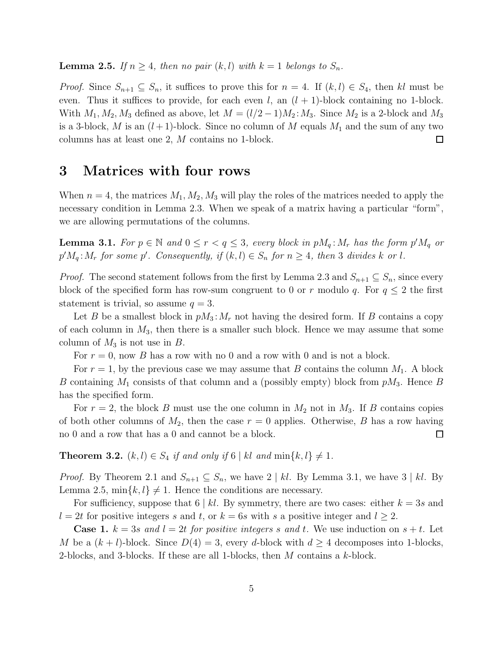**Lemma 2.5.** If  $n \geq 4$ , then no pair  $(k, l)$  with  $k = 1$  belongs to  $S_n$ .

*Proof.* Since  $S_{n+1} \subseteq S_n$ , it suffices to prove this for  $n = 4$ . If  $(k, l) \in S_4$ , then kl must be even. Thus it suffices to provide, for each even  $l$ , an  $(l + 1)$ -block containing no 1-block. With  $M_1, M_2, M_3$  defined as above, let  $M = (l/2 - 1)M_2$ :  $M_3$ . Since  $M_2$  is a 2-block and  $M_3$ is a 3-block, M is an  $(l+1)$ -block. Since no column of M equals  $M_1$  and the sum of any two columns has at least one 2, M contains no 1-block.  $\Box$ 

### 3 Matrices with four rows

When  $n = 4$ , the matrices  $M_1, M_2, M_3$  will play the roles of the matrices needed to apply the necessary condition in Lemma 2.3. When we speak of a matrix having a particular "form", we are allowing permutations of the columns.

**Lemma 3.1.** For  $p \in \mathbb{N}$  and  $0 \le r < q \le 3$ , every block in  $pM_q:M_r$  has the form  $p'M_q$  or  $p'M_q: M_r$  for some p'. Consequently, if  $(k, l) \in S_n$  for  $n \geq 4$ , then 3 divides k or l.

*Proof.* The second statement follows from the first by Lemma 2.3 and  $S_{n+1} \subseteq S_n$ , since every block of the specified form has row-sum congruent to 0 or r modulo q. For  $q \leq 2$  the first statement is trivial, so assume  $q = 3$ .

Let B be a smallest block in  $pM_3$ :  $M_r$  not having the desired form. If B contains a copy of each column in  $M_3$ , then there is a smaller such block. Hence we may assume that some column of  $M_3$  is not use in  $B$ .

For  $r = 0$ , now B has a row with no 0 and a row with 0 and is not a block.

For  $r = 1$ , by the previous case we may assume that B contains the column  $M_1$ . A block B containing  $M_1$  consists of that column and a (possibly empty) block from  $pM_3$ . Hence B has the specified form.

For  $r = 2$ , the block B must use the one column in  $M_2$  not in  $M_3$ . If B contains copies of both other columns of  $M_2$ , then the case  $r = 0$  applies. Otherwise, B has a row having no 0 and a row that has a 0 and cannot be a block.  $\Box$ 

**Theorem 3.2.**  $(k, l) \in S_4$  if and only if  $6 \mid kl$  and  $\min\{k, l\} \neq 1$ .

*Proof.* By Theorem 2.1 and  $S_{n+1} \subseteq S_n$ , we have 2 | kl. By Lemma 3.1, we have 3 | kl. By Lemma 2.5,  $\min\{k, l\} \neq 1$ . Hence the conditions are necessary.

For sufficiency, suppose that  $6 \mid kl$ . By symmetry, there are two cases: either  $k = 3s$  and  $l = 2t$  for positive integers s and t, or  $k = 6s$  with s a positive integer and  $l \geq 2$ .

**Case 1.**  $k = 3s$  and  $l = 2t$  for positive integers s and t. We use induction on  $s + t$ . Let M be a  $(k+l)$ -block. Since  $D(4)=3$ , every d-block with  $d \geq 4$  decomposes into 1-blocks, 2-blocks, and 3-blocks. If these are all 1-blocks, then M contains a k-block.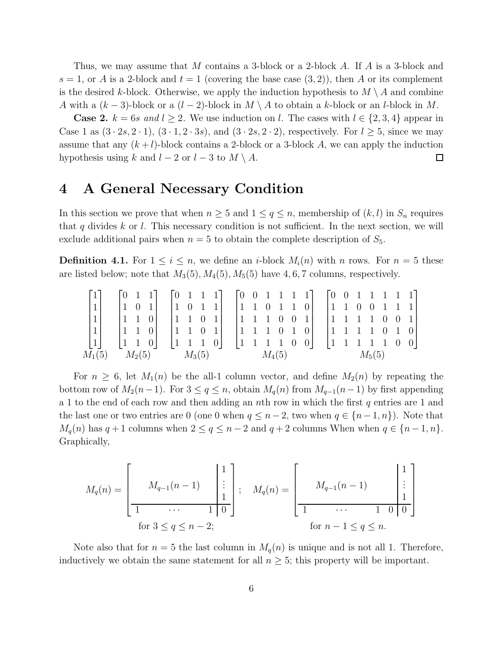Thus, we may assume that M contains a 3-block or a 2-block A. If A is a 3-block and  $s = 1$ , or A is a 2-block and  $t = 1$  (covering the base case  $(3, 2)$ ), then A or its complement is the desired k-block. Otherwise, we apply the induction hypothesis to  $M \setminus A$  and combine A with a  $(k-3)$ -block or a  $(l-2)$ -block in  $M \setminus A$  to obtain a k-block or an l-block in M.

**Case 2.**  $k = 6s$  and  $l \geq 2$ . We use induction on l. The cases with  $l \in \{2, 3, 4\}$  appear in Case 1 as  $(3 \cdot 2s, 2 \cdot 1), (3 \cdot 1, 2 \cdot 3s),$  and  $(3 \cdot 2s, 2 \cdot 2),$  respectively. For  $l \geq 5$ , since we may assume that any  $(k+l)$ -block contains a 2-block or a 3-block A, we can apply the induction hypothesis using k and  $l - 2$  or  $l - 3$  to  $M \setminus A$ .  $\Box$ 

## 4 A General Necessary Condition

In this section we prove that when  $n \geq 5$  and  $1 \leq q \leq n$ , membership of  $(k, l)$  in  $S_n$  requires that q divides k or l. This necessary condition is not sufficient. In the next section, we will exclude additional pairs when  $n = 5$  to obtain the complete description of  $S_5$ .

**Definition 4.1.** For  $1 \leq i \leq n$ , we define an *i*-block  $M_i(n)$  with *n* rows. For  $n = 5$  these are listed below; note that  $M_3(5)$ ,  $M_4(5)$ ,  $M_5(5)$  have 4, 6, 7 columns, respectively.

$$
\begin{bmatrix} 1 \\ 1 \\ 1 \\ 1 \\ 1 \\ 1 \\ 1 \end{bmatrix} \quad \begin{bmatrix} 0 & 1 & 1 \\ 1 & 0 & 1 \\ 1 & 1 & 0 \\ 1 & 1 & 0 \\ 1 & 1 & 0 \\ 1 & 1 & 0 \end{bmatrix} \quad \begin{bmatrix} 0 & 1 & 1 & 1 \\ 1 & 0 & 1 & 1 \\ 1 & 1 & 0 & 1 \\ 1 & 1 & 0 & 1 \\ 1 & 1 & 1 & 0 \end{bmatrix} \quad \begin{bmatrix} 0 & 0 & 1 & 1 & 1 & 1 \\ 1 & 1 & 0 & 1 & 1 & 0 \\ 1 & 1 & 0 & 1 & 1 & 0 \\ 1 & 1 & 1 & 0 & 0 & 1 \\ 1 & 1 & 1 & 0 & 0 & 0 \end{bmatrix} \quad \begin{bmatrix} 0 & 0 & 1 & 1 & 1 & 1 & 1 \\ 1 & 1 & 0 & 0 & 1 & 1 & 1 \\ 1 & 1 & 1 & 0 & 0 & 1 \\ 1 & 1 & 1 & 1 & 0 & 0 & 1 \\ 1 & 1 & 1 & 1 & 0 & 0 & 0 \end{bmatrix}
$$

$$
\begin{bmatrix} 0 & 0 & 1 & 1 & 1 & 1 & 1 \\ 1 & 1 & 0 & 0 & 1 & 1 & 1 \\ 1 & 1 & 1 & 0 & 0 & 1 & 1 \\ 1 & 1 & 1 & 1 & 0 & 0 & 1 \\ 1 & 1 & 1 & 1 & 0 & 0 & 0 \end{bmatrix}
$$

For  $n \geq 6$ , let  $M_1(n)$  be the all-1 column vector, and define  $M_2(n)$  by repeating the bottom row of  $M_2(n-1)$ . For  $3 \leq q \leq n$ , obtain  $M_q(n)$  from  $M_{q-1}(n-1)$  by first appending a 1 to the end of each row and then adding an nth row in which the first q entries are 1 and the last one or two entries are 0 (one 0 when  $q \leq n-2$ , two when  $q \in \{n-1, n\}$ ). Note that  $M_q(n)$  has  $q + 1$  columns when  $2 \le q \le n - 2$  and  $q + 2$  columns When when  $q \in \{n - 1, n\}.$ Graphically,

$$
M_q(n) = \begin{bmatrix} M_{q-1}(n-1) & \begin{vmatrix} 1 \\ \vdots \\ 1 \end{vmatrix} \\ \text{for } 3 \le q \le n-2; \end{bmatrix}; \quad M_q(n) = \begin{bmatrix} M_{q-1}(n-1) & \begin{vmatrix} 1 \\ \vdots \\ 1 \end{vmatrix} \\ \text{for } n-1 \le q \le n. \end{bmatrix}
$$

Note also that for  $n = 5$  the last column in  $M_q(n)$  is unique and is not all 1. Therefore, inductively we obtain the same statement for all  $n \geq 5$ ; this property will be important.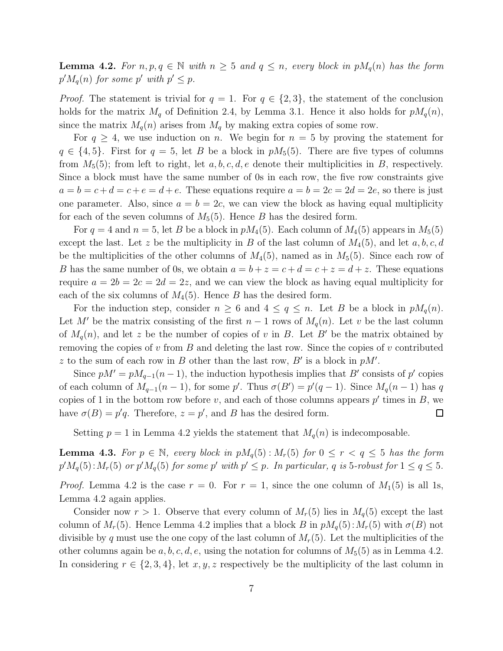**Lemma 4.2.** For  $n, p, q \in \mathbb{N}$  with  $n \geq 5$  and  $q \leq n$ , every block in  $pM_q(n)$  has the form  $p^{\prime} M_q(n)$  for some p' with  $p^{\prime} \leq p$ .

*Proof.* The statement is trivial for  $q = 1$ . For  $q \in \{2, 3\}$ , the statement of the conclusion holds for the matrix  $M_q$  of Definition 2.4, by Lemma 3.1. Hence it also holds for  $pM_q(n)$ , since the matrix  $M_q(n)$  arises from  $M_q$  by making extra copies of some row.

For  $q \geq 4$ , we use induction on n. We begin for  $n = 5$  by proving the statement for  $q \in \{4, 5\}$ . First for  $q = 5$ , let B be a block in  $pM_5(5)$ . There are five types of columns from  $M_5(5)$ ; from left to right, let a, b, c, d, e denote their multiplicities in B, respectively. Since a block must have the same number of 0s in each row, the five row constraints give  $a = b = c + d = c + e = d + e$ . These equations require  $a = b = 2c = 2d = 2e$ , so there is just one parameter. Also, since  $a = b = 2c$ , we can view the block as having equal multiplicity for each of the seven columns of  $M_5(5)$ . Hence B has the desired form.

For  $q = 4$  and  $n = 5$ , let B be a block in  $pM_4(5)$ . Each column of  $M_4(5)$  appears in  $M_5(5)$ except the last. Let z be the multiplicity in B of the last column of  $M_4(5)$ , and let  $a, b, c, d$ be the multiplicities of the other columns of  $M_4(5)$ , named as in  $M_5(5)$ . Since each row of B has the same number of 0s, we obtain  $a = b + z = c + d = c + z = d + z$ . These equations require  $a = 2b = 2c = 2d = 2z$ , and we can view the block as having equal multiplicity for each of the six columns of  $M_4(5)$ . Hence B has the desired form.

For the induction step, consider  $n \geq 6$  and  $4 \leq q \leq n$ . Let B be a block in  $pM_q(n)$ . Let M' be the matrix consisting of the first  $n-1$  rows of  $M_q(n)$ . Let v be the last column of  $M_q(n)$ , and let z be the number of copies of v in B. Let B' be the matrix obtained by removing the copies of v from  $B$  and deleting the last row. Since the copies of v contributed z to the sum of each row in B other than the last row,  $B'$  is a block in  $pM'$ .

Since  $pM' = pM_{q-1}(n-1)$ , the induction hypothesis implies that B' consists of p' copies of each column of  $M_{q-1}(n-1)$ , for some p'. Thus  $\sigma(B') = p'(q-1)$ . Since  $M_q(n-1)$  has q copies of 1 in the bottom row before v, and each of those columns appears  $p'$  times in B, we have  $\sigma(B) = p'q$ . Therefore,  $z = p'$ , and B has the desired form.  $\Box$ 

Setting  $p = 1$  in Lemma 4.2 yields the statement that  $M_q(n)$  is indecomposable.

**Lemma 4.3.** For  $p \in \mathbb{N}$ , every block in  $pM_q(5)$ :  $M_r(5)$  for  $0 \le r < q \le 5$  has the form  $p'M_q(5)$ :  $M_r(5)$  or  $p'M_q(5)$  for some p' with  $p' \leq p$ . In particular, q is 5-robust for  $1 \leq q \leq 5$ .

*Proof.* Lemma 4.2 is the case  $r = 0$ . For  $r = 1$ , since the one column of  $M_1(5)$  is all 1s, Lemma 4.2 again applies.

Consider now  $r > 1$ . Observe that every column of  $M_r(5)$  lies in  $M_q(5)$  except the last column of  $M_r(5)$ . Hence Lemma 4.2 implies that a block B in  $pM_q(5)$ :  $M_r(5)$  with  $\sigma(B)$  not divisible by q must use the one copy of the last column of  $M_r(5)$ . Let the multiplicities of the other columns again be  $a, b, c, d, e$ , using the notation for columns of  $M_5(5)$  as in Lemma 4.2. In considering  $r \in \{2,3,4\}$ , let  $x, y, z$  respectively be the multiplicity of the last column in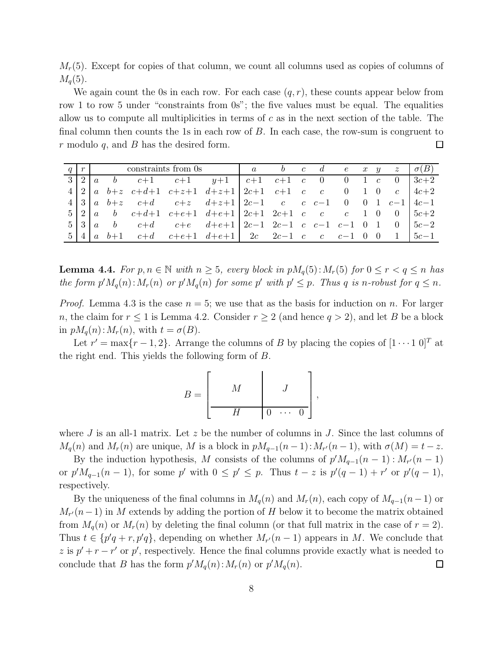$M_r(5)$ . Except for copies of that column, we count all columns used as copies of columns of  $M<sub>q</sub>(5)$ .

We again count the 0s in each row. For each case  $(q, r)$ , these counts appear below from row 1 to row 5 under "constraints from 0s"; the five values must be equal. The equalities allow us to compute all multiplicities in terms of c as in the next section of the table. The final column then counts the 1s in each row of  $B$ . In each case, the row-sum is congruent to  $r$  modulo  $q$ , and  $B$  has the desired form. 口

|  |  | $q \mid r$ constraints from 0s and $a \mid a \mid b \mid c \mid d \mid e \mid x \mid y \mid z \mid \sigma(B)$ |                                                                                                                                                                                                                                       |  |  |  |  |        |
|--|--|---------------------------------------------------------------------------------------------------------------|---------------------------------------------------------------------------------------------------------------------------------------------------------------------------------------------------------------------------------------|--|--|--|--|--------|
|  |  |                                                                                                               | $3 2 a \quad b \quad c+1 \quad c+1 \quad y+1 \quad c+1 \quad c+1 \quad c \quad 0 \quad 0 \quad 1 \quad c \quad 0 \quad 3c+2$                                                                                                          |  |  |  |  |        |
|  |  |                                                                                                               | $4 2 a b+z c+d+1 c+z+1 d+z+1  2c+1 c+1 c c c 0 1 0 c  4c+2$                                                                                                                                                                           |  |  |  |  |        |
|  |  |                                                                                                               | $4 \begin{vmatrix} 3 \end{vmatrix} a \quad b + z \quad c + d \quad c + z \quad d + z + 1 \begin{vmatrix} 2c - 1 & c \end{vmatrix} c \quad c \quad c - 1 \quad 0 \quad 0 \quad 1 \quad c - 1 \begin{vmatrix} 4c - 1 & c \end{vmatrix}$ |  |  |  |  |        |
|  |  |                                                                                                               | $5 2 a \t b \t c+d+1 \t c+e+1 \t d+e+1  2c+1 \t 2c+1 \t c \t c \t 1 \t 0 \t 0  5c+2$                                                                                                                                                  |  |  |  |  |        |
|  |  |                                                                                                               | $5 \begin{vmatrix} 3 \end{vmatrix}$ a b $c+d$ $c+e$ $d+e+1 \begin{vmatrix} 2c-1 & 2c-1 & c & c-1 & c-1 & 0 & 1 & 0 \end{vmatrix}$ $5c-2$                                                                                              |  |  |  |  |        |
|  |  |                                                                                                               | $5 4 a b+1$ $c+d$ $c+e+1$ $d+e+1$ 2c $2c-1$ c c $c-1$ 0 0 1                                                                                                                                                                           |  |  |  |  | $5c-1$ |

**Lemma 4.4.** For  $p, n \in \mathbb{N}$  with  $n \geq 5$ , every block in  $pM_q(5)$ :  $M_r(5)$  for  $0 \leq r < q \leq n$  has the form  $p'M_q(n)$ :  $M_r(n)$  or  $p'M_q(n)$  for some p' with  $p' \leq p$ . Thus q is n-robust for  $q \leq n$ .

*Proof.* Lemma 4.3 is the case  $n = 5$ ; we use that as the basis for induction on n. For larger n, the claim for  $r \leq 1$  is Lemma 4.2. Consider  $r \geq 2$  (and hence  $q > 2$ ), and let B be a block in  $pM_q(n)$ :  $M_r(n)$ , with  $t = \sigma(B)$ .

Let  $r' = \max\{r-1, 2\}$ . Arrange the columns of B by placing the copies of  $[1 \cdots 1 \ 0]^T$  at the right end. This yields the following form of B.

$$
B = \left[\begin{array}{c|c} & M & & J \\ \hline & H & 0 & \cdots & 0 \end{array}\right],
$$

where J is an all-1 matrix. Let  $z$  be the number of columns in J. Since the last columns of  $M_q(n)$  and  $M_r(n)$  are unique, M is a block in  $pM_{q-1}(n-1)$ :  $M_{r'}(n-1)$ , with  $\sigma(M) = t - z$ .

By the induction hypothesis, M consists of the columns of  $p'M_{q-1}(n-1)$ :  $M_{r'}(n-1)$ or  $p'M_{q-1}(n-1)$ , for some p' with  $0 \leq p' \leq p$ . Thus  $t-z$  is  $p'(q-1) + r'$  or  $p'(q-1)$ , respectively.

By the uniqueness of the final columns in  $M_q(n)$  and  $M_r(n)$ , each copy of  $M_{q-1}(n-1)$  or  $M_{r'}(n-1)$  in M extends by adding the portion of H below it to become the matrix obtained from  $M_q(n)$  or  $M_r(n)$  by deleting the final column (or that full matrix in the case of  $r = 2$ ). Thus  $t \in \{p'q + r, p'q\}$ , depending on whether  $M_{r'}(n-1)$  appears in M. We conclude that z is  $p' + r - r'$  or p', respectively. Hence the final columns provide exactly what is needed to conclude that B has the form  $p'M_q(n)$ :  $M_r(n)$  or  $p'M_q(n)$ .  $\Box$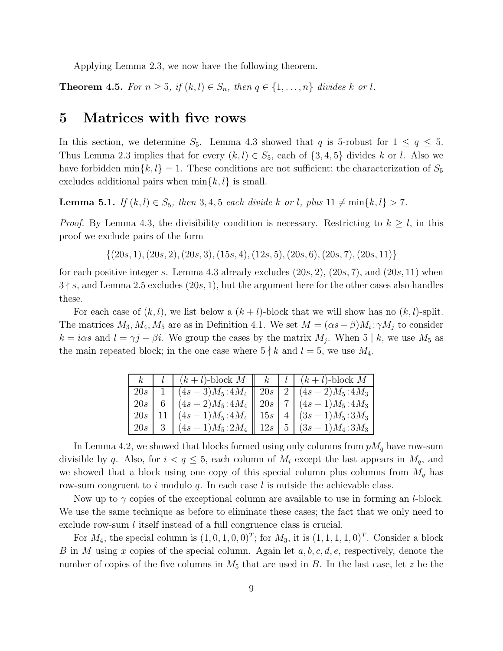Applying Lemma 2.3, we now have the following theorem.

**Theorem 4.5.** For  $n \geq 5$ , if  $(k, l) \in S_n$ , then  $q \in \{1, \ldots, n\}$  divides k or l.

#### 5 Matrices with five rows

In this section, we determine  $S_5$ . Lemma 4.3 showed that q is 5-robust for  $1 \le q \le 5$ . Thus Lemma 2.3 implies that for every  $(k, l) \in S_5$ , each of  $\{3, 4, 5\}$  divides k or l. Also we have forbidden min $\{k, l\} = 1$ . These conditions are not sufficient; the characterization of  $S_5$ excludes additional pairs when  $\min\{k, l\}$  is small.

**Lemma 5.1.** If  $(k, l) \in S_5$ , then 3, 4, 5 each divide k or l, plus  $11 \neq \min\{k, l\} > 7$ .

*Proof.* By Lemma 4.3, the divisibility condition is necessary. Restricting to  $k \geq l$ , in this proof we exclude pairs of the form

 $\{(20s, 1), (20s, 2), (20s, 3), (15s, 4), (12s, 5), (20s, 6), (20s, 7), (20s, 11)\}\$ 

for each positive integer s. Lemma 4.3 already excludes  $(20s, 2)$ ,  $(20s, 7)$ , and  $(20s, 11)$  when  $3 \nmid s$ , and Lemma 2.5 excludes (20s, 1), but the argument here for the other cases also handles these.

For each case of  $(k, l)$ , we list below a  $(k + l)$ -block that we will show has no  $(k, l)$ -split. The matrices  $M_3, M_4, M_5$  are as in Definition 4.1. We set  $M = (\alpha s - \beta)M_i : \gamma M_j$  to consider  $k = i\alpha s$  and  $l = \gamma j - \beta i$ . We group the cases by the matrix  $M_j$ . When 5 | k, we use  $M_5$  as the main repeated block; in the one case where  $5 \nmid k$  and  $l = 5$ , we use  $M_4$ .

| $k_{-}$ | $\mid l \mid (k+l)$ -block $M \mid k \mid l \mid (k+l)$ -block $M$     |  |  |
|---------|------------------------------------------------------------------------|--|--|
| $20s$   | 1 $(4s-3)M_5:4M_4 \parallel 20s \parallel 2 \parallel (4s-2)M_5:4M_3$  |  |  |
| 20s     | $(4s-2)M_5: 4M_4 \parallel 20s \parallel 7 \parallel (4s-1)M_5: 4M_3$  |  |  |
| $20s$   | 11 $(4s-1)M_5:4M_4 \parallel 15s \parallel 4 \parallel (3s-1)M_5:3M_3$ |  |  |
| $20s$   | 3 $(4s-1)M_5:2M_4 \parallel 12s \parallel 5 \parallel (3s-1)M_4:3M_3$  |  |  |

In Lemma 4.2, we showed that blocks formed using only columns from  $pM_q$  have row-sum divisible by q. Also, for  $i < q \leq 5$ , each column of  $M_i$  except the last appears in  $M_q$ , and we showed that a block using one copy of this special column plus columns from  $M_q$  has row-sum congruent to i modulo q. In each case l is outside the achievable class.

Now up to  $\gamma$  copies of the exceptional column are available to use in forming an *l*-block. We use the same technique as before to eliminate these cases; the fact that we only need to exclude row-sum *l* itself instead of a full congruence class is crucial.

For  $M_4$ , the special column is  $(1,0,1,0,0)^T$ ; for  $M_3$ , it is  $(1,1,1,1,0)^T$ . Consider a block B in M using x copies of the special column. Again let  $a, b, c, d, e$ , respectively, denote the number of copies of the five columns in  $M_5$  that are used in B. In the last case, let z be the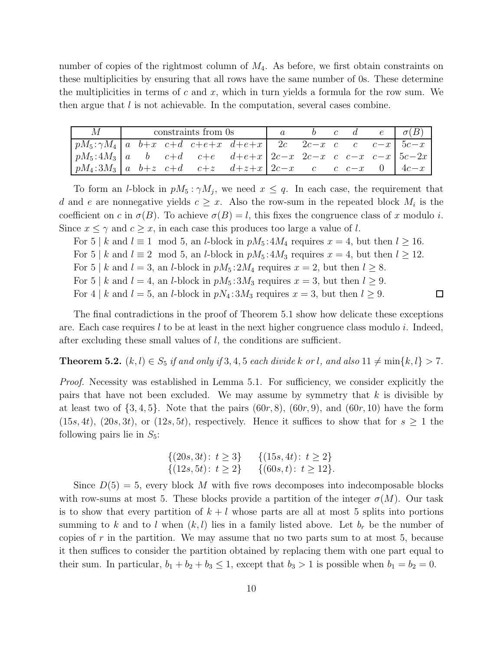number of copies of the rightmost column of  $M_4$ . As before, we first obtain constraints on these multiplicities by ensuring that all rows have the same number of 0s. These determine the multiplicities in terms of c and x, which in turn yields a formula for the row sum. We then argue that  $l$  is not achievable. In the computation, several cases combine.

| M                                                                                                                                                                  |  | constraints from 0s |  |  | b c d e $\sigma(B)$ |  |
|--------------------------------------------------------------------------------------------------------------------------------------------------------------------|--|---------------------|--|--|---------------------|--|
| $\lceil pM_5:\gamma M_4 \rceil$ a $b+x$ $c+d$ $c+e+x$ $d+e+x$ $2c$ $2c-x$ $c$ $c$ $c-x$ $5c-x$                                                                     |  |                     |  |  |                     |  |
| $\int pM_5: 4M_3  a \ b \ c+d \ c+e \ d+e+x  2c-x \ 2c-x \ c \ c-x \  5c-2x$                                                                                       |  |                     |  |  |                     |  |
| $\int pM_4:3M_3\left[a\right]b+z\right]c+d\rightleftharpoons c+d\rightleftharpoons c+d+z+d+z+2c-x\rightleftharpoons c-c-x\rightleftharpoons 0$ $\left[4c-x\right]$ |  |                     |  |  |                     |  |

To form an *l*-block in  $pM_5: \gamma M_j$ , we need  $x \leq q$ . In each case, the requirement that d and e are nonnegative yields  $c \geq x$ . Also the row-sum in the repeated block  $M_i$  is the coefficient on c in  $\sigma(B)$ . To achieve  $\sigma(B) = l$ , this fixes the congruence class of x modulo i. Since  $x \leq \gamma$  and  $c \geq x$ , in each case this produces too large a value of l.

For 5 | k and  $l \equiv 1 \mod 5$ , an l-block in  $pM_5: 4M_4$  requires  $x = 4$ , but then  $l \ge 16$ .

For 5 | k and  $l \equiv 2 \mod 5$ , an l-block in  $pM_5: 4M_3$  requires  $x = 4$ , but then  $l \ge 12$ .

For 5 | k and  $l = 3$ , an l-block in  $pM_5: 2M_4$  requires  $x = 2$ , but then  $l \geq 8$ .

For 5 | k and  $l = 4$ , an l-block in  $pM_5: 3M_3$  requires  $x = 3$ , but then  $l \geq 9$ .

For 4 | k and  $l = 5$ , an l-block in  $pN_4:3M_3$  requires  $x = 3$ , but then  $l \geq 9$ .

The final contradictions in the proof of Theorem 5.1 show how delicate these exceptions are. Each case requires l to be at least in the next higher congruence class modulo i. Indeed, after excluding these small values of  $l$ , the conditions are sufficient.

 $\Box$ 

**Theorem 5.2.**  $(k, l) \in S_5$  if and only if 3, 4, 5 each divide k or l, and also  $11 \neq \min\{k, l\} > 7$ .

Proof. Necessity was established in Lemma 5.1. For sufficiency, we consider explicitly the pairs that have not been excluded. We may assume by symmetry that  $k$  is divisible by at least two of  $\{3,4,5\}$ . Note that the pairs  $(60r, 8)$ ,  $(60r, 9)$ , and  $(60r, 10)$  have the form  $(15s, 4t), (20s, 3t),$  or  $(12s, 5t)$ , respectively. Hence it suffices to show that for  $s \geq 1$  the following pairs lie in  $S_5$ :

$$
\{(20s, 3t): t \ge 3\} \{ (15s, 4t): t \ge 2\} \{(12s, 5t): t \ge 2\} \{ (60s, t): t \ge 12\}.
$$

Since  $D(5) = 5$ , every block M with five rows decomposes into indecomposable blocks with row-sums at most 5. These blocks provide a partition of the integer  $\sigma(M)$ . Our task is to show that every partition of  $k + l$  whose parts are all at most 5 splits into portions summing to k and to l when  $(k, l)$  lies in a family listed above. Let  $b_r$  be the number of copies of  $r$  in the partition. We may assume that no two parts sum to at most 5, because it then suffices to consider the partition obtained by replacing them with one part equal to their sum. In particular,  $b_1 + b_2 + b_3 \leq 1$ , except that  $b_3 > 1$  is possible when  $b_1 = b_2 = 0$ .